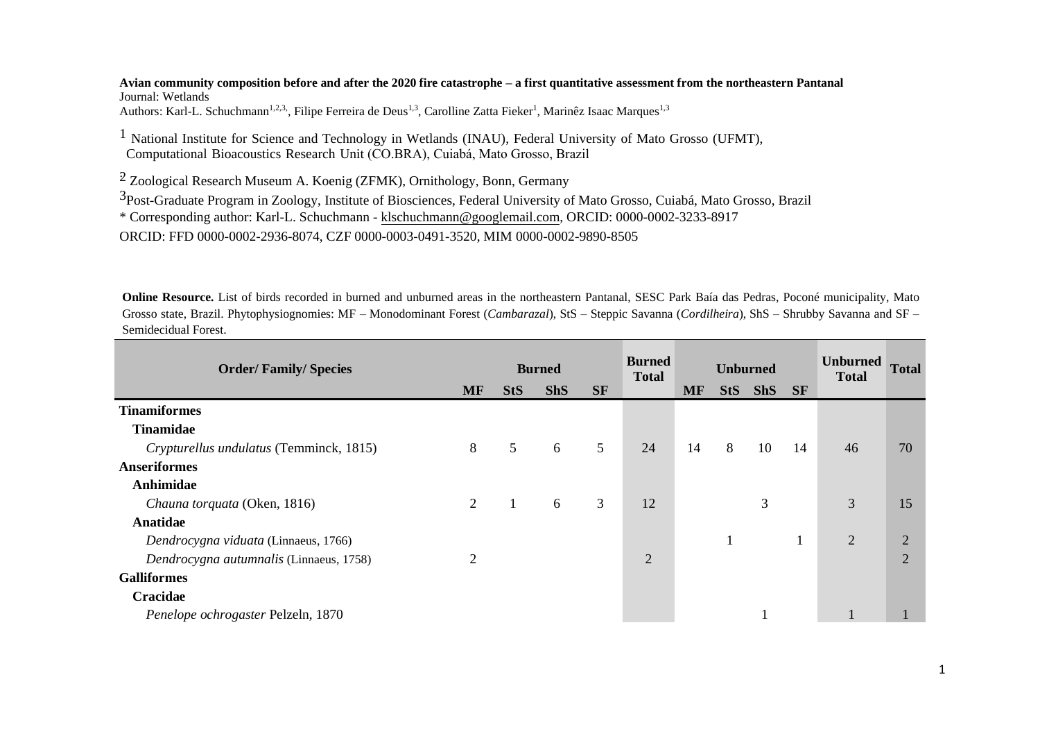**Avian community composition before and after the 2020 fire catastrophe – a first quantitative assessment from the northeastern Pantanal**  Journal: Wetlands Authors: Karl-L. Schuchmann<sup>1,2,3</sup>, Filipe Ferreira de Deus<sup>1,3</sup>, Carolline Zatta Fieker<sup>1</sup>, Marinêz Isaac Marques<sup>1,3</sup>

1 National Institute for Science and Technology in Wetlands (INAU), Federal University of Mato Grosso (UFMT), Computational Bioacoustics Research Unit (CO.BRA), Cuiabá, Mato Grosso, Brazil

 $2$  Zoological Research Museum A. Koenig (ZFMK), Ornithology, Bonn, Germany

3Post-Graduate Program in Zoology, Institute of Biosciences, Federal University of Mato Grosso, Cuiabá, Mato Grosso, Brazil

\* Corresponding author: Karl-L. Schuchmann - [klschuchmann@googlemail.com,](mailto:klschuchmann@googlemail.com) ORCID: 0000-0002-3233-8917

ORCID: FFD 0000-0002-2936-8074, CZF 0000-0003-0491-3520, MIM 0000-0002-9890-8505

**Online Resource.** List of birds recorded in burned and unburned areas in the northeastern Pantanal, SESC Park Baía das Pedras, Poconé municipality, Mato Grosso state, Brazil. Phytophysiognomies: MF – Monodominant Forest (*Cambarazal*), StS – Steppic Savanna (*Cordilheira*), ShS – Shrubby Savanna and SF – Semidecidual Forest.

| <b>Order/Family/Species</b>             |           |            | <b>Burned</b> |                 | <b>Burned</b><br><b>Total</b> |    | <b>Unburned</b> |            |           | <b>Unburned</b><br><b>Total</b> | <b>Total</b>   |
|-----------------------------------------|-----------|------------|---------------|-----------------|-------------------------------|----|-----------------|------------|-----------|---------------------------------|----------------|
|                                         | <b>MF</b> | <b>StS</b> | <b>ShS</b>    | <b>SF</b>       |                               | MF | <b>StS</b>      | <b>ShS</b> | <b>SF</b> |                                 |                |
| <b>Tinamiformes</b>                     |           |            |               |                 |                               |    |                 |            |           |                                 |                |
| <b>Tinamidae</b>                        |           |            |               |                 |                               |    |                 |            |           |                                 |                |
| Crypturellus undulatus (Temminck, 1815) | 8         | 5          | 6             | $5\overline{)}$ | 24                            | 14 | 8               | 10         | 14        | 46                              | 70             |
| <b>Anseriformes</b>                     |           |            |               |                 |                               |    |                 |            |           |                                 |                |
| Anhimidae                               |           |            |               |                 |                               |    |                 |            |           |                                 |                |
| Chauna torquata (Oken, 1816)            | 2         |            | 6             | 3               | 12                            |    |                 | 3          |           | 3                               | 15             |
| Anatidae                                |           |            |               |                 |                               |    |                 |            |           |                                 |                |
| Dendrocygna viduata (Linnaeus, 1766)    |           |            |               |                 |                               |    |                 |            |           | $\overline{2}$                  | $\overline{2}$ |
| Dendrocygna autumnalis (Linnaeus, 1758) | 2         |            |               |                 | $\overline{2}$                |    |                 |            |           |                                 | $\overline{2}$ |
| <b>Galliformes</b>                      |           |            |               |                 |                               |    |                 |            |           |                                 |                |
| Cracidae                                |           |            |               |                 |                               |    |                 |            |           |                                 |                |
| Penelope ochrogaster Pelzeln, 1870      |           |            |               |                 |                               |    |                 |            |           |                                 |                |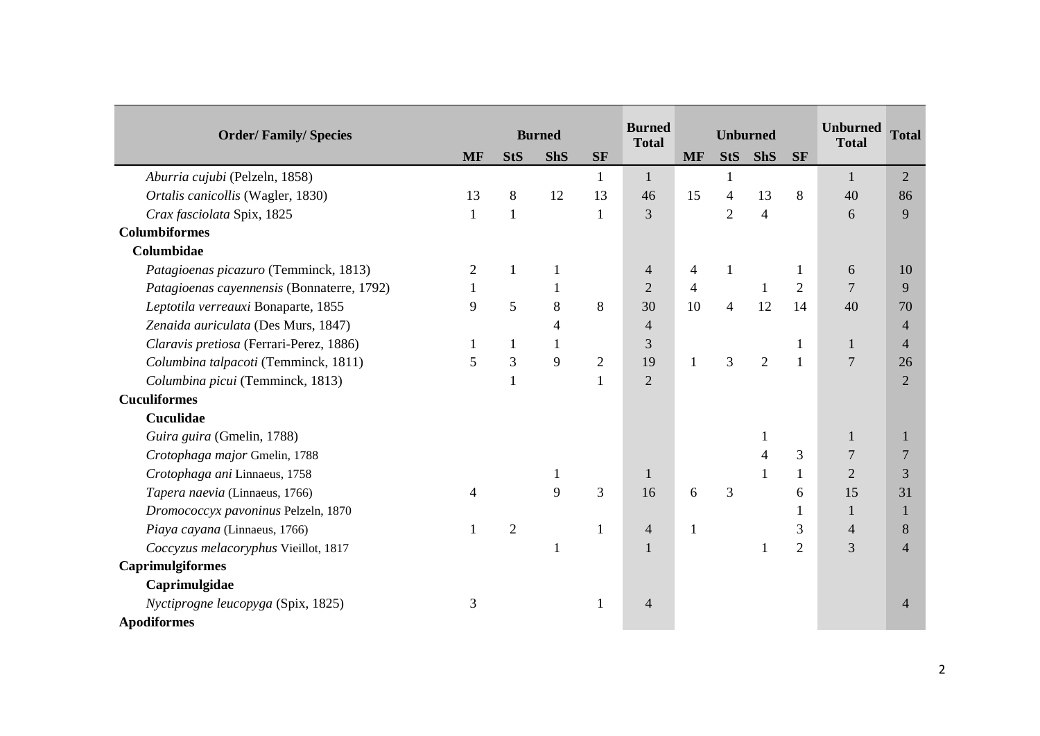|                                            |           |                | <b>Burned</b>  |                | <b>Burned</b>  |                | <b>Unburned</b> |                |                | <b>Unburned</b> | <b>Total</b>   |
|--------------------------------------------|-----------|----------------|----------------|----------------|----------------|----------------|-----------------|----------------|----------------|-----------------|----------------|
| <b>Order/Family/Species</b>                | <b>MF</b> | <b>StS</b>     | <b>ShS</b>     | <b>SF</b>      | <b>Total</b>   | <b>MF</b>      | <b>StS</b>      | <b>ShS</b>     | <b>SF</b>      | <b>Total</b>    |                |
| Aburria cujubi (Pelzeln, 1858)             |           |                |                | 1              | $\mathbf{1}$   |                | $\mathbf{1}$    |                |                | $\mathbf{1}$    | 2              |
| Ortalis canicollis (Wagler, 1830)          | 13        | 8              | 12             | 13             | 46             | 15             | 4               | 13             | 8              | 40              | 86             |
| Crax fasciolata Spix, 1825                 |           | $\mathbf{1}$   |                | $\mathbf{1}$   | 3              |                | $\overline{2}$  | $\overline{4}$ |                | 6               | 9              |
| <b>Columbiformes</b>                       |           |                |                |                |                |                |                 |                |                |                 |                |
| Columbidae                                 |           |                |                |                |                |                |                 |                |                |                 |                |
| Patagioenas picazuro (Temminck, 1813)      | 2         | $\mathbf{1}$   | $\mathbf{1}$   |                | $\overline{4}$ | 4              | $\mathbf{1}$    |                |                | 6               | 10             |
| Patagioenas cayennensis (Bonnaterre, 1792) |           |                | 1              |                | $\overline{2}$ | $\overline{4}$ |                 | 1              | $\overline{2}$ | 7               | 9              |
| Leptotila verreauxi Bonaparte, 1855        | 9         | 5              | 8              | 8              | 30             | 10             | $\overline{4}$  | 12             | 14             | 40              | 70             |
| Zenaida auriculata (Des Murs, 1847)        |           |                | $\overline{4}$ |                | $\overline{4}$ |                |                 |                |                |                 | $\overline{4}$ |
| Claravis pretiosa (Ferrari-Perez, 1886)    |           | $\mathbf{1}$   | $\mathbf{1}$   |                | 3              |                |                 |                |                | $\mathbf{1}$    | $\overline{4}$ |
| Columbina talpacoti (Temminck, 1811)       | 5         | $\overline{3}$ | 9              | $\overline{2}$ | 19             | $\mathbf{1}$   | 3               | $\overline{2}$ |                | $\overline{7}$  | 26             |
| Columbina picui (Temminck, 1813)           |           | $\mathbf{1}$   |                | 1              | $\overline{2}$ |                |                 |                |                |                 | $\overline{2}$ |
| <b>Cuculiformes</b>                        |           |                |                |                |                |                |                 |                |                |                 |                |
| Cuculidae                                  |           |                |                |                |                |                |                 |                |                |                 |                |
| Guira guira (Gmelin, 1788)                 |           |                |                |                |                |                |                 |                |                | 1               | 1              |
| Crotophaga major Gmelin, 1788              |           |                |                |                |                |                |                 | 4              | 3              | $\overline{7}$  | $\overline{7}$ |
| Crotophaga ani Linnaeus, 1758              |           |                | 1              |                | $\mathbf{1}$   |                |                 |                | $\mathbf{1}$   | $\overline{2}$  | 3              |
| Tapera naevia (Linnaeus, 1766)             | 4         |                | 9              | $\overline{3}$ | 16             | 6              | 3               |                | 6              | 15              | 31             |
| Dromococcyx pavoninus Pelzeln, 1870        |           |                |                |                |                |                |                 |                |                | $\mathbf{1}$    | 1              |
| Piaya cayana (Linnaeus, 1766)              | 1         | $\overline{2}$ |                | 1              | $\overline{4}$ | 1              |                 |                | 3              | $\overline{4}$  | 8              |
| Coccyzus melacoryphus Vieillot, 1817       |           |                | 1              |                |                |                |                 |                | $\overline{2}$ | 3               | $\overline{4}$ |
| <b>Caprimulgiformes</b>                    |           |                |                |                |                |                |                 |                |                |                 |                |
| Caprimulgidae                              |           |                |                |                |                |                |                 |                |                |                 |                |
| Nyctiprogne leucopyga (Spix, 1825)         | 3         |                |                | 1              | $\overline{4}$ |                |                 |                |                |                 | $\overline{4}$ |
| <b>Apodiformes</b>                         |           |                |                |                |                |                |                 |                |                |                 |                |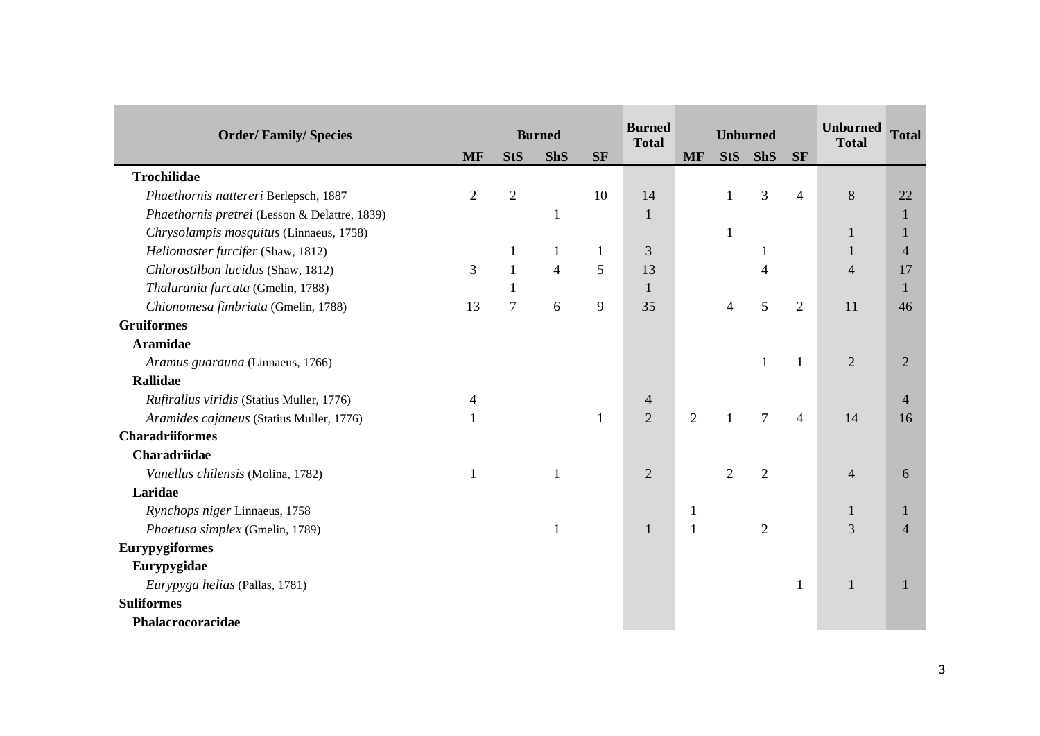|                                               |                |                |                |           | <b>Burned</b>  |                | <b>Unburned</b> |                 |                | <b>Unburned</b> | <b>Total</b>   |
|-----------------------------------------------|----------------|----------------|----------------|-----------|----------------|----------------|-----------------|-----------------|----------------|-----------------|----------------|
| <b>Order/Family/Species</b>                   |                |                | <b>Burned</b>  |           | <b>Total</b>   |                |                 |                 |                | <b>Total</b>    |                |
|                                               | <b>MF</b>      | <b>StS</b>     | <b>ShS</b>     | <b>SF</b> |                | <b>MF</b>      | <b>StS</b>      | <b>ShS</b>      | <b>SF</b>      |                 |                |
| Trochilidae                                   |                |                |                |           |                |                |                 |                 |                |                 |                |
| Phaethornis nattereri Berlepsch, 1887         | $\overline{2}$ | $\overline{2}$ |                | 10        | 14             |                | $\mathbf{1}$    | 3               | 4              | $\,8\,$         | 22             |
| Phaethornis pretrei (Lesson & Delattre, 1839) |                |                | $\mathbf{1}$   |           | $\mathbf{1}$   |                |                 |                 |                |                 | $\mathbf{1}$   |
| Chrysolampis mosquitus (Linnaeus, 1758)       |                |                |                |           |                |                | $\mathbf{1}$    |                 |                |                 | -1             |
| Heliomaster furcifer (Shaw, 1812)             |                | 1              | 1              | 1         | 3              |                |                 |                 |                |                 | $\overline{4}$ |
| Chlorostilbon lucidus (Shaw, 1812)            | 3              | $\mathbf{1}$   | $\overline{4}$ | 5         | 13             |                |                 |                 |                | $\overline{4}$  | 17             |
| Thalurania furcata (Gmelin, 1788)             |                | 1              |                |           | $\mathbf{1}$   |                |                 |                 |                |                 | $\mathbf{1}$   |
| Chionomesa fimbriata (Gmelin, 1788)           | 13             | $\tau$         | 6              | 9         | 35             |                | $\overline{4}$  | 5               | $\overline{2}$ | 11              | 46             |
| <b>Gruiformes</b>                             |                |                |                |           |                |                |                 |                 |                |                 |                |
| <b>Aramidae</b>                               |                |                |                |           |                |                |                 |                 |                |                 |                |
| Aramus guarauna (Linnaeus, 1766)              |                |                |                |           |                |                |                 | $\mathbf{1}$    |                | 2               | $\overline{2}$ |
| <b>Rallidae</b>                               |                |                |                |           |                |                |                 |                 |                |                 |                |
| Rufirallus viridis (Statius Muller, 1776)     |                |                |                |           | 4              |                |                 |                 |                |                 | $\overline{4}$ |
| Aramides cajaneus (Statius Muller, 1776)      |                |                |                | 1         | $\overline{2}$ | $\overline{2}$ | $\mathbf{1}$    | $7\phantom{.0}$ | 4              | 14              | 16             |
| <b>Charadriiformes</b>                        |                |                |                |           |                |                |                 |                 |                |                 |                |
| Charadriidae                                  |                |                |                |           |                |                |                 |                 |                |                 |                |
| Vanellus chilensis (Molina, 1782)             | 1              |                | $\mathbf{1}$   |           | $\overline{2}$ |                | $\overline{2}$  | $\overline{2}$  |                | $\overline{4}$  | 6              |
| Laridae                                       |                |                |                |           |                |                |                 |                 |                |                 |                |
| Rynchops niger Linnaeus, 1758                 |                |                |                |           |                | $\mathbf{1}$   |                 |                 |                | $\mathbf{1}$    | -1             |
| Phaetusa simplex (Gmelin, 1789)               |                |                | $\mathbf{1}$   |           | 1              | $\mathbf{1}$   |                 | $\overline{2}$  |                | 3               | $\overline{4}$ |
| <b>Eurypygiformes</b>                         |                |                |                |           |                |                |                 |                 |                |                 |                |
| Eurypygidae                                   |                |                |                |           |                |                |                 |                 |                |                 |                |
| Eurypyga helias (Pallas, 1781)                |                |                |                |           |                |                |                 |                 | 1              | $\mathbf{1}$    | -1             |
| <b>Suliformes</b>                             |                |                |                |           |                |                |                 |                 |                |                 |                |
| Phalacrocoracidae                             |                |                |                |           |                |                |                 |                 |                |                 |                |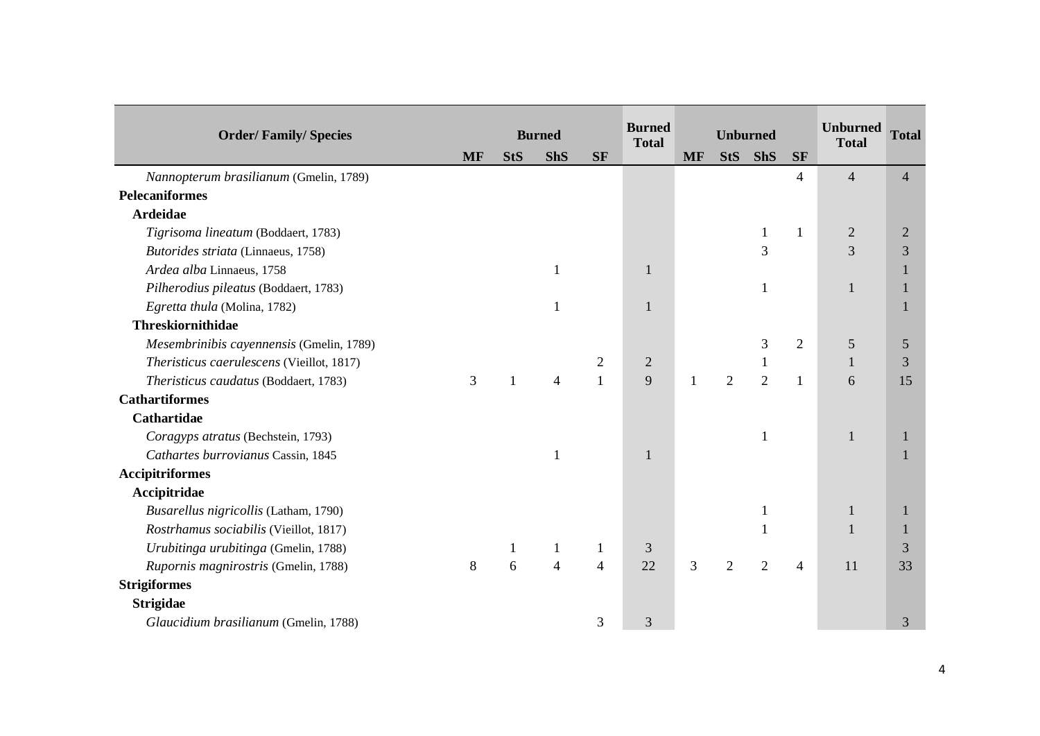|                                           |           |                | <b>Burned</b>  |                | <b>Burned</b>  |           | <b>Unburned</b> |                |                          | <b>Unburned</b> | <b>Total</b>   |
|-------------------------------------------|-----------|----------------|----------------|----------------|----------------|-----------|-----------------|----------------|--------------------------|-----------------|----------------|
| <b>Order/Family/Species</b>               |           |                |                |                | <b>Total</b>   |           |                 |                |                          | <b>Total</b>    |                |
|                                           | <b>MF</b> | <b>StS</b>     | <b>ShS</b>     | <b>SF</b>      |                | <b>MF</b> | <b>StS</b>      | <b>ShS</b>     | <b>SF</b>                |                 |                |
| Nannopterum brasilianum (Gmelin, 1789)    |           |                |                |                |                |           |                 |                | $\overline{\mathcal{A}}$ | $\overline{4}$  | $\overline{4}$ |
| <b>Pelecaniformes</b>                     |           |                |                |                |                |           |                 |                |                          |                 |                |
| <b>Ardeidae</b>                           |           |                |                |                |                |           |                 |                |                          |                 |                |
| Tigrisoma lineatum (Boddaert, 1783)       |           |                |                |                |                |           |                 |                | 1                        | $\overline{2}$  | $\overline{2}$ |
| Butorides striata (Linnaeus, 1758)        |           |                |                |                |                |           |                 | 3              |                          | 3               | 3              |
| Ardea alba Linnaeus, 1758                 |           |                | 1              |                | 1              |           |                 |                |                          |                 | $\bf{l}$       |
| Pilherodius pileatus (Boddaert, 1783)     |           |                |                |                |                |           |                 | 1              |                          | $\mathbf{1}$    |                |
| Egretta thula (Molina, 1782)              |           |                |                |                |                |           |                 |                |                          |                 |                |
| <b>Threskiornithidae</b>                  |           |                |                |                |                |           |                 |                |                          |                 |                |
| Mesembrinibis cayennensis (Gmelin, 1789)  |           |                |                |                |                |           |                 | 3              | $\overline{2}$           | 5               | 5              |
| Theristicus caerulescens (Vieillot, 1817) |           |                |                | $\overline{2}$ | $\overline{2}$ |           |                 | 1              |                          | 1               | 3              |
| Theristicus caudatus (Boddaert, 1783)     | 3         | $\overline{1}$ | 4              | $\mathbf{1}$   | 9              | 1         | $\overline{2}$  | $\overline{2}$ | 1                        | 6               | 15             |
| <b>Cathartiformes</b>                     |           |                |                |                |                |           |                 |                |                          |                 |                |
| <b>Cathartidae</b>                        |           |                |                |                |                |           |                 |                |                          |                 |                |
| Coragyps atratus (Bechstein, 1793)        |           |                |                |                |                |           |                 | 1              |                          | $\mathbf{1}$    | 1              |
| Cathartes burrovianus Cassin, 1845        |           |                | $\mathbf{1}$   |                |                |           |                 |                |                          |                 |                |
| <b>Accipitriformes</b>                    |           |                |                |                |                |           |                 |                |                          |                 |                |
| Accipitridae                              |           |                |                |                |                |           |                 |                |                          |                 |                |
| Busarellus nigricollis (Latham, 1790)     |           |                |                |                |                |           |                 | $\mathbf{1}$   |                          | $\mathbf{1}$    | $\mathbf{1}$   |
| Rostrhamus sociabilis (Vieillot, 1817)    |           |                |                |                |                |           |                 |                |                          |                 |                |
| Urubitinga urubitinga (Gmelin, 1788)      |           | 1              | 1              | 1              | 3              |           |                 |                |                          |                 | 3              |
| Rupornis magnirostris (Gmelin, 1788)      | 8         | 6              | $\overline{4}$ | $\overline{4}$ | 22             | 3         | $\overline{2}$  | $\overline{2}$ | 4                        | 11              | 33             |
| <b>Strigiformes</b>                       |           |                |                |                |                |           |                 |                |                          |                 |                |
| <b>Strigidae</b>                          |           |                |                |                |                |           |                 |                |                          |                 |                |
| Glaucidium brasilianum (Gmelin, 1788)     |           |                |                | 3              | 3              |           |                 |                |                          |                 | 3              |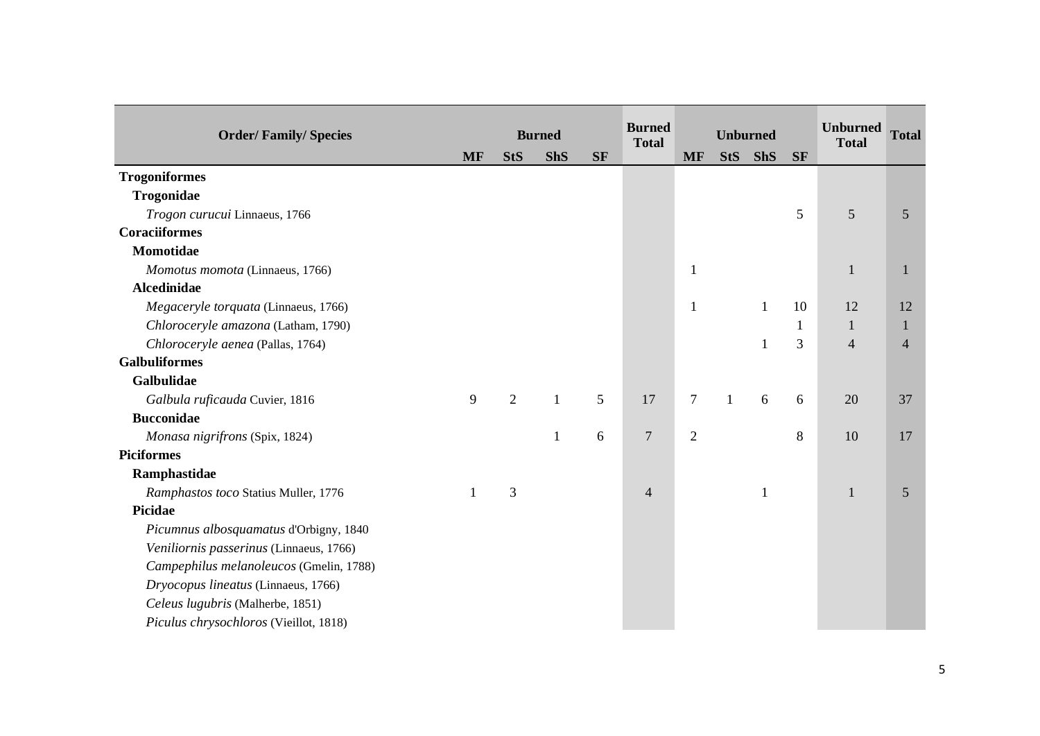|                                         |           |                |               |           | <b>Burned</b>  |                |                 |              |           | <b>Unburned</b> |                |
|-----------------------------------------|-----------|----------------|---------------|-----------|----------------|----------------|-----------------|--------------|-----------|-----------------|----------------|
| <b>Order/Family/Species</b>             |           |                | <b>Burned</b> |           | <b>Total</b>   |                | <b>Unburned</b> |              |           | <b>Total</b>    | <b>Total</b>   |
|                                         | <b>MF</b> | <b>StS</b>     | <b>ShS</b>    | <b>SF</b> |                | <b>MF</b>      | <b>StS</b>      | <b>ShS</b>   | <b>SF</b> |                 |                |
| <b>Trogoniformes</b>                    |           |                |               |           |                |                |                 |              |           |                 |                |
| Trogonidae                              |           |                |               |           |                |                |                 |              |           |                 |                |
| Trogon curucui Linnaeus, 1766           |           |                |               |           |                |                |                 |              | 5         | 5               | 5              |
| <b>Coraciiformes</b>                    |           |                |               |           |                |                |                 |              |           |                 |                |
| <b>Momotidae</b>                        |           |                |               |           |                |                |                 |              |           |                 |                |
| Momotus momota (Linnaeus, 1766)         |           |                |               |           |                | $\mathbf{1}$   |                 |              |           | 1               | 1              |
| <b>Alcedinidae</b>                      |           |                |               |           |                |                |                 |              |           |                 |                |
| Megaceryle torquata (Linnaeus, 1766)    |           |                |               |           |                | $\mathbf{1}$   |                 | $\mathbf{1}$ | 10        | 12              | 12             |
| Chloroceryle amazona (Latham, 1790)     |           |                |               |           |                |                |                 |              | 1         | 1               |                |
| Chloroceryle aenea (Pallas, 1764)       |           |                |               |           |                |                |                 |              | 3         | $\overline{4}$  | $\overline{4}$ |
| <b>Galbuliformes</b>                    |           |                |               |           |                |                |                 |              |           |                 |                |
| <b>Galbulidae</b>                       |           |                |               |           |                |                |                 |              |           |                 |                |
| Galbula ruficauda Cuvier, 1816          | 9         | $\overline{2}$ | $\mathbf{1}$  | 5         | 17             | $\tau$         | $\mathbf{1}$    | 6            | 6         | 20              | 37             |
| <b>Bucconidae</b>                       |           |                |               |           |                |                |                 |              |           |                 |                |
| Monasa nigrifrons (Spix, 1824)          |           |                | $\mathbf{1}$  | 6         | $\overline{7}$ | $\overline{c}$ |                 |              | 8         | 10              | 17             |
| <b>Piciformes</b>                       |           |                |               |           |                |                |                 |              |           |                 |                |
| Ramphastidae                            |           |                |               |           |                |                |                 |              |           |                 |                |
| Ramphastos toco Statius Muller, 1776    |           | 3              |               |           | $\overline{4}$ |                |                 | 1            |           | 1               | 5              |
| <b>Picidae</b>                          |           |                |               |           |                |                |                 |              |           |                 |                |
| Picumnus albosquamatus d'Orbigny, 1840  |           |                |               |           |                |                |                 |              |           |                 |                |
| Veniliornis passerinus (Linnaeus, 1766) |           |                |               |           |                |                |                 |              |           |                 |                |
| Campephilus melanoleucos (Gmelin, 1788) |           |                |               |           |                |                |                 |              |           |                 |                |
| Dryocopus lineatus (Linnaeus, 1766)     |           |                |               |           |                |                |                 |              |           |                 |                |
| Celeus lugubris (Malherbe, 1851)        |           |                |               |           |                |                |                 |              |           |                 |                |
| Piculus chrysochloros (Vieillot, 1818)  |           |                |               |           |                |                |                 |              |           |                 |                |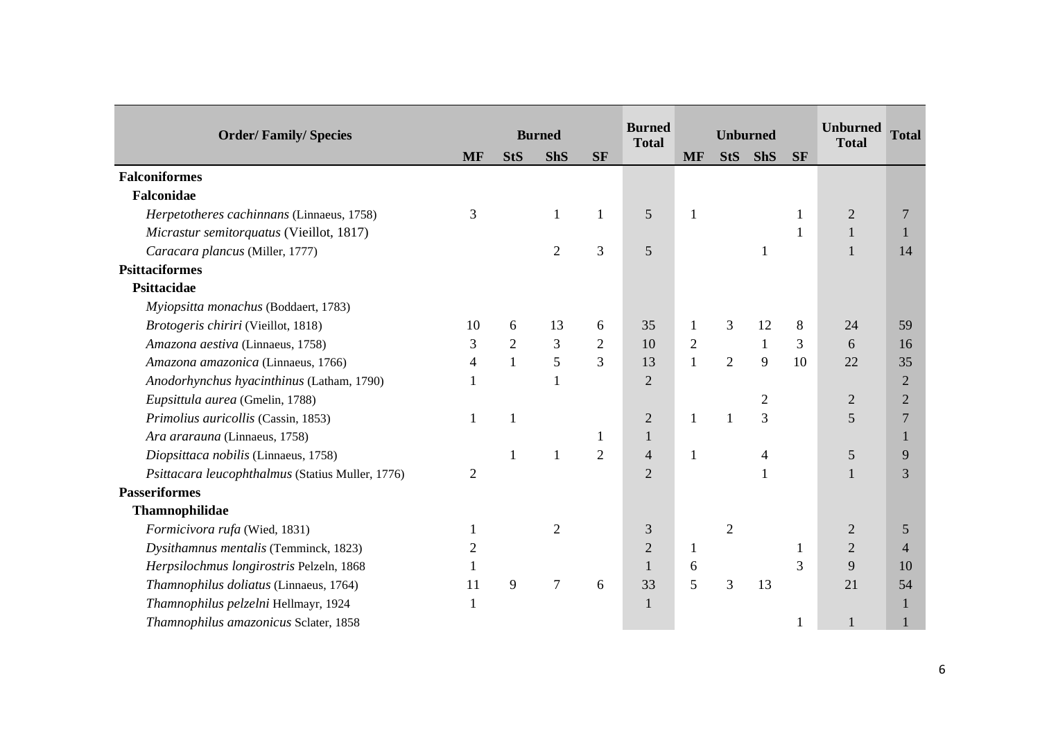|                                                  |                |                |                |                | <b>Burned</b>  |                |                 |                |           | <b>Unburned</b> |                |
|--------------------------------------------------|----------------|----------------|----------------|----------------|----------------|----------------|-----------------|----------------|-----------|-----------------|----------------|
| <b>Order/Family/Species</b>                      |                |                | <b>Burned</b>  |                | <b>Total</b>   |                | <b>Unburned</b> |                |           | <b>Total</b>    | <b>Total</b>   |
|                                                  | <b>MF</b>      | <b>StS</b>     | <b>ShS</b>     | <b>SF</b>      |                | <b>MF</b>      | <b>StS</b>      | <b>ShS</b>     | <b>SF</b> |                 |                |
| <b>Falconiformes</b>                             |                |                |                |                |                |                |                 |                |           |                 |                |
| Falconidae                                       |                |                |                |                |                |                |                 |                |           |                 |                |
| Herpetotheres cachinnans (Linnaeus, 1758)        | 3              |                | 1              | $\mathbf{1}$   | 5              | $\mathbf{1}$   |                 |                |           | $\sqrt{2}$      | $\overline{7}$ |
| Micrastur semitorquatus (Vieillot, 1817)         |                |                |                |                |                |                |                 |                |           |                 |                |
| Caracara plancus (Miller, 1777)                  |                |                | $\overline{2}$ | 3              | 5              |                |                 | 1              |           |                 | 14             |
| <b>Psittaciformes</b>                            |                |                |                |                |                |                |                 |                |           |                 |                |
| Psittacidae                                      |                |                |                |                |                |                |                 |                |           |                 |                |
| Myiopsitta monachus (Boddaert, 1783)             |                |                |                |                |                |                |                 |                |           |                 |                |
| Brotogeris chiriri (Vieillot, 1818)              | 10             | 6              | 13             | 6              | 35             | 1              | 3               | 12             | 8         | 24              | 59             |
| Amazona aestiva (Linnaeus, 1758)                 | 3              | $\overline{2}$ | 3              | $\overline{2}$ | 10             | $\overline{c}$ |                 | $\mathbf{1}$   | 3         | 6               | 16             |
| Amazona amazonica (Linnaeus, 1766)               | 4              | $\mathbf{1}$   | 5              | 3              | 13             | $\mathbf{1}$   | $\overline{2}$  | 9              | 10        | 22              | 35             |
| Anodorhynchus hyacinthinus (Latham, 1790)        |                |                | $\mathbf{1}$   |                | $\overline{2}$ |                |                 |                |           |                 | $\overline{2}$ |
| Eupsittula aurea (Gmelin, 1788)                  |                |                |                |                |                |                |                 | $\mathfrak{2}$ |           | $\overline{2}$  | $\overline{2}$ |
| Primolius auricollis (Cassin, 1853)              | 1              | $\mathbf{1}$   |                |                | $\overline{2}$ | 1              | $\mathbf{1}$    | 3              |           | 5               | $\overline{7}$ |
| Ara ararauna (Linnaeus, 1758)                    |                |                |                |                | 1              |                |                 |                |           |                 | 1              |
| Diopsittaca nobilis (Linnaeus, 1758)             |                | 1              | $\mathbf{1}$   | $\overline{2}$ | 4              | $\mathbf{1}$   |                 | $\overline{4}$ |           | $\sqrt{5}$      | 9              |
| Psittacara leucophthalmus (Statius Muller, 1776) | $\overline{2}$ |                |                |                | $\overline{2}$ |                |                 | 1              |           |                 | $\overline{3}$ |
| <b>Passeriformes</b>                             |                |                |                |                |                |                |                 |                |           |                 |                |
| Thamnophilidae                                   |                |                |                |                |                |                |                 |                |           |                 |                |
| Formicivora rufa (Wied, 1831)                    |                |                | $\overline{2}$ |                | 3              |                | $\overline{2}$  |                |           | $\overline{2}$  | 5              |
| Dysithamnus mentalis (Temminck, 1823)            | 2              |                |                |                | $\overline{2}$ | $\mathbf{1}$   |                 |                |           | $\mathbf{2}$    | $\overline{4}$ |
| Herpsilochmus longirostris Pelzeln, 1868         |                |                |                |                | $\mathbf{1}$   | 6              |                 |                | 3         | 9               | 10             |
| Thamnophilus doliatus (Linnaeus, 1764)           | 11             | 9              | $\overline{7}$ | 6              | 33             | 5              | 3               | 13             |           | 21              | 54             |
| Thamnophilus pelzelni Hellmayr, 1924             |                |                |                |                | 1              |                |                 |                |           |                 | 1              |
| Thamnophilus amazonicus Sclater, 1858            |                |                |                |                |                |                |                 |                |           | $\mathbf{1}$    |                |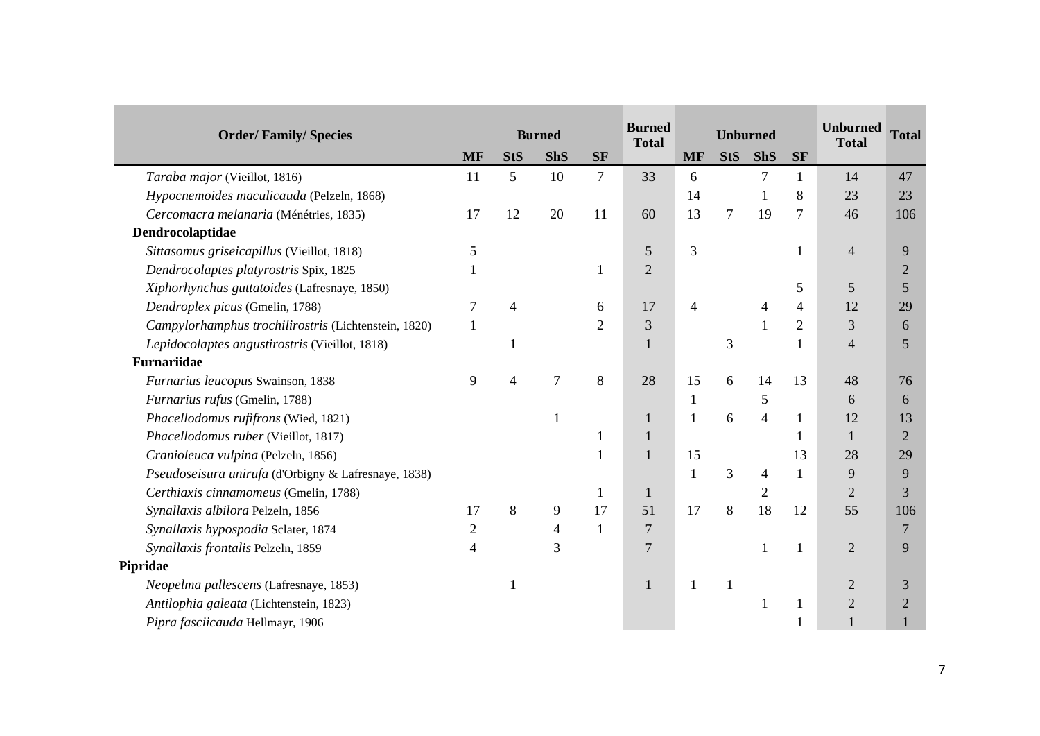|                                                      |           |            |                |                | <b>Burned</b>  |                |                 |                |                | <b>Unburned</b> |                |
|------------------------------------------------------|-----------|------------|----------------|----------------|----------------|----------------|-----------------|----------------|----------------|-----------------|----------------|
| <b>Order/Family/Species</b>                          |           |            | <b>Burned</b>  |                | <b>Total</b>   |                | <b>Unburned</b> |                |                | <b>Total</b>    | <b>Total</b>   |
|                                                      | <b>MF</b> | <b>StS</b> | <b>ShS</b>     | <b>SF</b>      |                | <b>MF</b>      | <b>StS</b>      | <b>ShS</b>     | <b>SF</b>      |                 |                |
| Taraba major (Vieillot, 1816)                        | 11        | 5          | 10             | 7              | 33             | 6              |                 | $\tau$         | 1              | 14              | 47             |
| Hypocnemoides maculicauda (Pelzeln, 1868)            |           |            |                |                |                | 14             |                 |                | 8              | 23              | 23             |
| Cercomacra melanaria (Ménétries, 1835)               | 17        | 12         | 20             | 11             | 60             | 13             | $\overline{7}$  | 19             | 7              | 46              | 106            |
| Dendrocolaptidae                                     |           |            |                |                |                |                |                 |                |                |                 |                |
| Sittasomus griseicapillus (Vieillot, 1818)           | 5         |            |                |                | 5              | 3              |                 |                |                | $\overline{4}$  | 9              |
| Dendrocolaptes platyrostris Spix, 1825               |           |            |                | 1              | $\overline{2}$ |                |                 |                |                |                 | $\overline{2}$ |
| Xiphorhynchus guttatoides (Lafresnaye, 1850)         |           |            |                |                |                |                |                 |                | 5              | 5               | 5              |
| Dendroplex picus (Gmelin, 1788)                      | 7         | 4          |                | 6              | 17             | $\overline{4}$ |                 | 4              | 4              | 12              | 29             |
| Campylorhamphus trochilirostris (Lichtenstein, 1820) | 1         |            |                | $\overline{2}$ | 3              |                |                 | $\mathbf{1}$   | $\overline{2}$ | 3               | 6              |
| Lepidocolaptes angustirostris (Vieillot, 1818)       |           |            |                |                |                |                | 3               |                |                | $\overline{4}$  | 5              |
| <b>Furnariidae</b>                                   |           |            |                |                |                |                |                 |                |                |                 |                |
| Furnarius leucopus Swainson, 1838                    | 9         | 4          | $\overline{7}$ | 8              | 28             | 15             | 6               | 14             | 13             | 48              | 76             |
| Furnarius rufus (Gmelin, 1788)                       |           |            |                |                |                | $\mathbf{1}$   |                 | 5              |                | 6               | 6              |
| Phacellodomus rufifrons (Wied, 1821)                 |           |            |                |                | 1              | $\mathbf{1}$   | 6               | $\overline{4}$ | 1              | 12              | 13             |
| Phacellodomus ruber (Vieillot, 1817)                 |           |            |                |                |                |                |                 |                |                |                 | $\overline{2}$ |
| Cranioleuca vulpina (Pelzeln, 1856)                  |           |            |                | 1              |                | 15             |                 |                | 13             | 28              | 29             |
| Pseudoseisura unirufa (d'Orbigny & Lafresnaye, 1838) |           |            |                |                |                | $\mathbf{1}$   | 3               | $\overline{4}$ | 1              | 9               | 9              |
| Certhiaxis cinnamomeus (Gmelin, 1788)                |           |            |                | 1              | 1              |                |                 | $\overline{2}$ |                | $\overline{2}$  | 3              |
| Synallaxis albilora Pelzeln, 1856                    | 17        | 8          | 9              | 17             | 51             | 17             | 8               | 18             | 12             | 55              | 106            |
| Synallaxis hypospodia Sclater, 1874                  | 2         |            | 4              | 1              | $\overline{7}$ |                |                 |                |                |                 | $\overline{7}$ |
| Synallaxis frontalis Pelzeln, 1859                   | 4         |            | 3              |                | 7              |                |                 | 1              |                | $\overline{2}$  | 9              |
| Pipridae                                             |           |            |                |                |                |                |                 |                |                |                 |                |
| Neopelma pallescens (Lafresnaye, 1853)               |           |            |                |                |                |                | $\mathbf{1}$    |                |                | $\overline{2}$  | 3              |
| Antilophia galeata (Lichtenstein, 1823)              |           |            |                |                |                |                |                 | 1              |                | $\mathbf{2}$    | $\overline{2}$ |
| Pipra fasciicauda Hellmayr, 1906                     |           |            |                |                |                |                |                 |                |                |                 |                |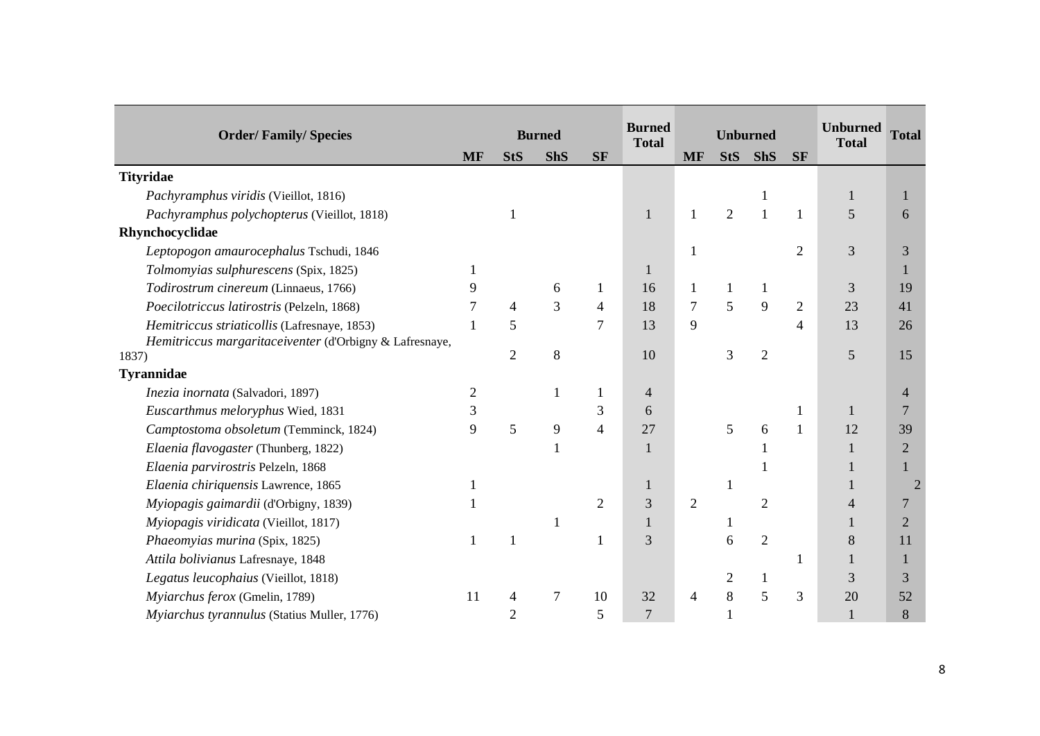| <b>Order/Family/Species</b>                             |                |                          | <b>Burned</b>  |                | <b>Burned</b>  |                | <b>Unburned</b> |                |                | <b>Unburned</b> | <b>Total</b>   |
|---------------------------------------------------------|----------------|--------------------------|----------------|----------------|----------------|----------------|-----------------|----------------|----------------|-----------------|----------------|
|                                                         | <b>MF</b>      | <b>StS</b>               | <b>ShS</b>     | <b>SF</b>      | <b>Total</b>   | <b>MF</b>      | <b>StS</b>      | <b>ShS</b>     | <b>SF</b>      | <b>Total</b>    |                |
| <b>Tityridae</b>                                        |                |                          |                |                |                |                |                 |                |                |                 |                |
| Pachyramphus viridis (Vieillot, 1816)                   |                |                          |                |                |                |                |                 |                |                |                 | -1             |
| Pachyramphus polychopterus (Vieillot, 1818)             |                |                          |                |                |                | 1              | $\overline{2}$  |                |                | 5               | 6              |
| Rhynchocyclidae                                         |                |                          |                |                |                |                |                 |                |                |                 |                |
| Leptopogon amaurocephalus Tschudi, 1846                 |                |                          |                |                |                |                |                 |                | $\overline{2}$ | 3               | 3              |
| Tolmomyias sulphurescens (Spix, 1825)                   |                |                          |                |                | ı              |                |                 |                |                |                 | 1              |
| Todirostrum cinereum (Linnaeus, 1766)                   | 9              |                          | 6              | 1              | 16             | 1              | 1               |                |                | 3               | 19             |
| Poecilotriccus latirostris (Pelzeln, 1868)              |                | $\overline{4}$           | $\overline{3}$ | 4              | 18             | $\overline{7}$ | 5               | 9              | $\overline{2}$ | 23              | 41             |
| Hemitriccus striaticollis (Lafresnaye, 1853)            |                | 5                        |                | $\overline{7}$ | 13             | 9              |                 |                | 4              | 13              | 26             |
| Hemitriccus margaritaceiventer (d'Orbigny & Lafresnaye, |                |                          |                |                |                |                |                 |                |                |                 |                |
| 1837)                                                   |                | $\overline{2}$           | 8              |                | 10             |                | 3               | $\overline{2}$ |                | 5               | 15             |
| Tyrannidae                                              |                |                          |                |                |                |                |                 |                |                |                 |                |
| Inezia inornata (Salvadori, 1897)                       | $\overline{2}$ |                          | 1              | 1              | 4              |                |                 |                |                |                 | $\overline{4}$ |
| Euscarthmus meloryphus Wied, 1831                       | 3              |                          |                | 3              | 6              |                |                 |                |                |                 | 7              |
| Camptostoma obsoletum (Temminck, 1824)                  | 9              | 5                        | 9              | $\overline{4}$ | 27             |                | 5               | 6              |                | 12              | 39             |
| Elaenia flavogaster (Thunberg, 1822)                    |                |                          | $\mathbf{1}$   |                | 1              |                |                 |                |                |                 | $\overline{2}$ |
| Elaenia parvirostris Pelzeln, 1868                      |                |                          |                |                |                |                |                 |                |                |                 |                |
| Elaenia chiriquensis Lawrence, 1865                     |                |                          |                |                |                |                | $\mathbf{1}$    |                |                |                 |                |
| Myiopagis gaimardii (d'Orbigny, 1839)                   |                |                          |                | $\overline{2}$ | 3              | $\overline{2}$ |                 | $\overline{2}$ |                |                 | 7              |
| Myiopagis viridicata (Vieillot, 1817)                   |                |                          |                |                |                |                | 1               |                |                |                 | $\overline{2}$ |
| Phaeomyias murina (Spix, 1825)                          |                | $\mathbf{1}$             |                |                | 3              |                | 6               | $\overline{2}$ |                | 8               | 11             |
| Attila bolivianus Lafresnaye, 1848                      |                |                          |                |                |                |                |                 |                |                |                 | $\mathbf{1}$   |
| Legatus leucophaius (Vieillot, 1818)                    |                |                          |                |                |                |                | $\overline{2}$  | 1              |                | 3               | 3              |
| Myiarchus ferox (Gmelin, 1789)                          | 11             | $\overline{\mathcal{A}}$ | $\tau$         | 10             | 32             | 4              | 8               | 5              | 3              | 20              | 52             |
| Myiarchus tyrannulus (Statius Muller, 1776)             |                | 2                        |                | 5              | $\overline{7}$ |                |                 |                |                |                 | 8              |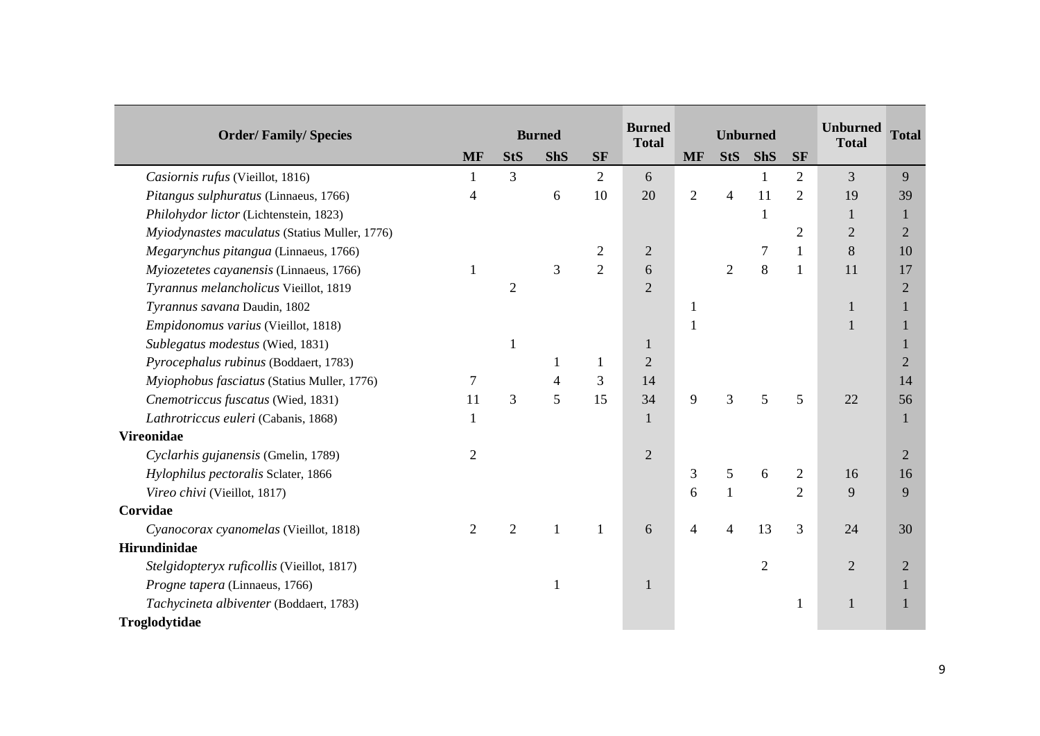| <b>Order/Family/Species</b>                   |                |                | <b>Burned</b>  |                | <b>Burned</b>  |                | <b>Unburned</b> |                 |                | <b>Unburned</b> | <b>Total</b>   |
|-----------------------------------------------|----------------|----------------|----------------|----------------|----------------|----------------|-----------------|-----------------|----------------|-----------------|----------------|
|                                               | <b>MF</b>      | <b>StS</b>     | <b>ShS</b>     | <b>SF</b>      | <b>Total</b>   | <b>MF</b>      | <b>StS</b>      | <b>ShS</b>      | <b>SF</b>      | <b>Total</b>    |                |
| Casiornis rufus (Vieillot, 1816)              |                | $\overline{3}$ |                | 2              | 6              |                |                 | 1               | $\overline{2}$ | 3               | 9              |
| Pitangus sulphuratus (Linnaeus, 1766)         | 4              |                | 6              | 10             | 20             | $\overline{2}$ | $\overline{4}$  | 11              | $\overline{2}$ | 19              | 39             |
| Philohydor lictor (Lichtenstein, 1823)        |                |                |                |                |                |                |                 | 1               |                | 1               | $\mathbf{1}$   |
| Myiodynastes maculatus (Statius Muller, 1776) |                |                |                |                |                |                |                 |                 | $\overline{2}$ | $\overline{2}$  | $\overline{2}$ |
| Megarynchus pitangua (Linnaeus, 1766)         |                |                |                | $\overline{2}$ | $\overline{2}$ |                |                 |                 | 1              | 8               | 10             |
| Myiozetetes cayanensis (Linnaeus, 1766)       | 1              |                | 3              | $\overline{2}$ | 6              |                | $\overline{2}$  | $8\,$           | 1              | 11              | 17             |
| Tyrannus melancholicus Vieillot, 1819         |                | $\overline{2}$ |                |                | $\overline{2}$ |                |                 |                 |                |                 | $\overline{2}$ |
| Tyrannus savana Daudin, 1802                  |                |                |                |                |                | 1              |                 |                 |                | 1               | 1              |
| Empidonomus varius (Vieillot, 1818)           |                |                |                |                |                |                |                 |                 |                | $\mathbf{1}$    | -1             |
| Sublegatus modestus (Wied, 1831)              |                | $\mathbf{1}$   |                |                | 1              |                |                 |                 |                |                 |                |
| Pyrocephalus rubinus (Boddaert, 1783)         |                |                | 1              | $\mathbf{1}$   | $\overline{2}$ |                |                 |                 |                |                 | $\overline{2}$ |
| Myiophobus fasciatus (Statius Muller, 1776)   | 7              |                | $\overline{4}$ | 3              | 14             |                |                 |                 |                |                 | 14             |
| Cnemotriccus fuscatus (Wied, 1831)            | 11             | 3              | 5              | 15             | 34             | 9              | 3               | $5\overline{)}$ | 5              | 22              | 56             |
| Lathrotriccus euleri (Cabanis, 1868)          |                |                |                |                | $\mathbf{1}$   |                |                 |                 |                |                 | 1              |
| <b>Vireonidae</b>                             |                |                |                |                |                |                |                 |                 |                |                 |                |
| Cyclarhis gujanensis (Gmelin, 1789)           | $\overline{2}$ |                |                |                | $\overline{2}$ |                |                 |                 |                |                 | $\overline{2}$ |
| Hylophilus pectoralis Sclater, 1866           |                |                |                |                |                | 3              | 5               | 6               | $\overline{2}$ | 16              | 16             |
| Vireo chivi (Vieillot, 1817)                  |                |                |                |                |                | 6              | $\mathbf{1}$    |                 | $\overline{2}$ | 9               | 9              |
| Corvidae                                      |                |                |                |                |                |                |                 |                 |                |                 |                |
| Cyanocorax cyanomelas (Vieillot, 1818)        | $\overline{2}$ | $\overline{2}$ | $\mathbf{1}$   | $\mathbf{1}$   | 6              | $\overline{4}$ | $\overline{4}$  | 13              | 3              | 24              | 30             |
| Hirundinidae                                  |                |                |                |                |                |                |                 |                 |                |                 |                |
| Stelgidopteryx ruficollis (Vieillot, 1817)    |                |                |                |                |                |                |                 | $\overline{2}$  |                | $\overline{2}$  | $\overline{2}$ |
| Progne tapera (Linnaeus, 1766)                |                |                | 1              |                | 1              |                |                 |                 |                |                 |                |
| Tachycineta albiventer (Boddaert, 1783)       |                |                |                |                |                |                |                 |                 | 1              | $\mathbf{1}$    | -1             |
| Troglodytidae                                 |                |                |                |                |                |                |                 |                 |                |                 |                |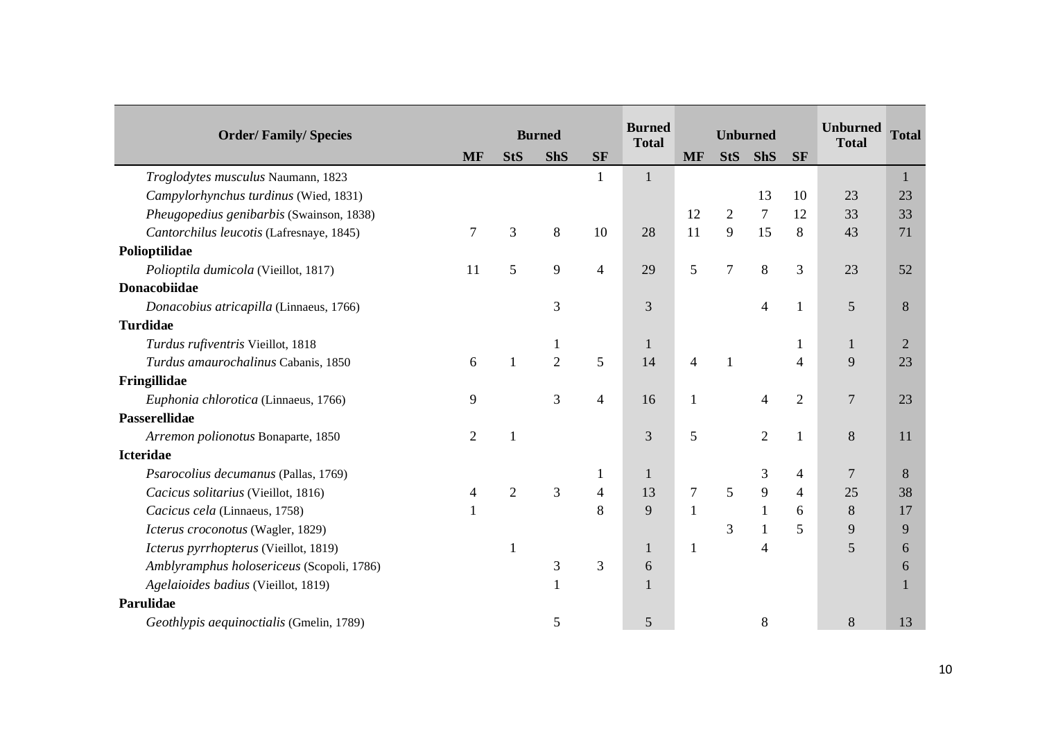|                                           |                |                |                |                | <b>Burned</b>  |                |                 |                |                | <b>Unburned</b> |                |
|-------------------------------------------|----------------|----------------|----------------|----------------|----------------|----------------|-----------------|----------------|----------------|-----------------|----------------|
| <b>Order/Family/Species</b>               |                |                | <b>Burned</b>  |                | <b>Total</b>   |                | <b>Unburned</b> |                |                | <b>Total</b>    | <b>Total</b>   |
|                                           | <b>MF</b>      | <b>StS</b>     | <b>ShS</b>     | <b>SF</b>      |                | <b>MF</b>      | <b>StS</b>      | <b>ShS</b>     | <b>SF</b>      |                 |                |
| Troglodytes musculus Naumann, 1823        |                |                |                | $\mathbf{1}$   | 1              |                |                 |                |                |                 | $\mathbf{1}$   |
| Campylorhynchus turdinus (Wied, 1831)     |                |                |                |                |                |                |                 | 13             | 10             | 23              | 23             |
| Pheugopedius genibarbis (Swainson, 1838)  |                |                |                |                |                | 12             | $\overline{2}$  | $\tau$         | 12             | 33              | 33             |
| Cantorchilus leucotis (Lafresnaye, 1845)  | 7              | 3              | 8              | 10             | 28             | 11             | 9               | 15             | 8              | 43              | 71             |
| Polioptilidae                             |                |                |                |                |                |                |                 |                |                |                 |                |
| Polioptila dumicola (Vieillot, 1817)      | 11             | 5              | 9              | 4              | 29             | 5              | $\overline{7}$  | 8              | 3              | 23              | 52             |
| Donacobiidae                              |                |                |                |                |                |                |                 |                |                |                 |                |
| Donacobius atricapilla (Linnaeus, 1766)   |                |                | 3              |                | 3              |                |                 | 4              |                | 5               | 8              |
| <b>Turdidae</b>                           |                |                |                |                |                |                |                 |                |                |                 |                |
| Turdus rufiventris Vieillot, 1818         |                |                |                |                | 1              |                |                 |                |                |                 | $\overline{2}$ |
| Turdus amaurochalinus Cabanis, 1850       | 6              | $\mathbf{1}$   | $\overline{2}$ | 5              | 14             | 4              | $\mathbf{1}$    |                | 4              | 9               | 23             |
| Fringillidae                              |                |                |                |                |                |                |                 |                |                |                 |                |
| Euphonia chlorotica (Linnaeus, 1766)      | 9              |                | 3              | $\overline{4}$ | 16             | $\mathbf{1}$   |                 | 4              | $\overline{2}$ | $\overline{7}$  | 23             |
| <b>Passerellidae</b>                      |                |                |                |                |                |                |                 |                |                |                 |                |
| Arremon polionotus Bonaparte, 1850        | $\overline{2}$ | $\mathbf{1}$   |                |                | 3              | 5              |                 | $\overline{2}$ |                | 8               | 11             |
| <b>Icteridae</b>                          |                |                |                |                |                |                |                 |                |                |                 |                |
| Psarocolius decumanus (Pallas, 1769)      |                |                |                |                | $\mathbf{1}$   |                |                 | 3              | 4              | $\overline{7}$  | 8              |
| Cacicus solitarius (Vieillot, 1816)       | 4              | $\overline{2}$ | 3              | $\overline{4}$ | 13             | $\overline{7}$ | 5               | 9              | 4              | 25              | 38             |
| Cacicus cela (Linnaeus, 1758)             | 1              |                |                | 8              | 9              | $\mathbf{1}$   |                 | $\mathbf{1}$   | 6              | $8\,$           | 17             |
| Icterus croconotus (Wagler, 1829)         |                |                |                |                |                |                | 3               | 1              | 5              | $\mathbf{9}$    | 9              |
| Icterus pyrrhopterus (Vieillot, 1819)     |                |                |                |                | 1              | 1              |                 | 4              |                | 5               | 6              |
| Amblyramphus holosericeus (Scopoli, 1786) |                |                | $\mathfrak{Z}$ | 3              | 6              |                |                 |                |                |                 | 6              |
| Agelaioides badius (Vieillot, 1819)       |                |                |                |                |                |                |                 |                |                |                 |                |
| Parulidae                                 |                |                |                |                |                |                |                 |                |                |                 |                |
| Geothlypis aequinoctialis (Gmelin, 1789)  |                |                | 5              |                | $\mathfrak{S}$ |                |                 | 8              |                | 8               | 13             |